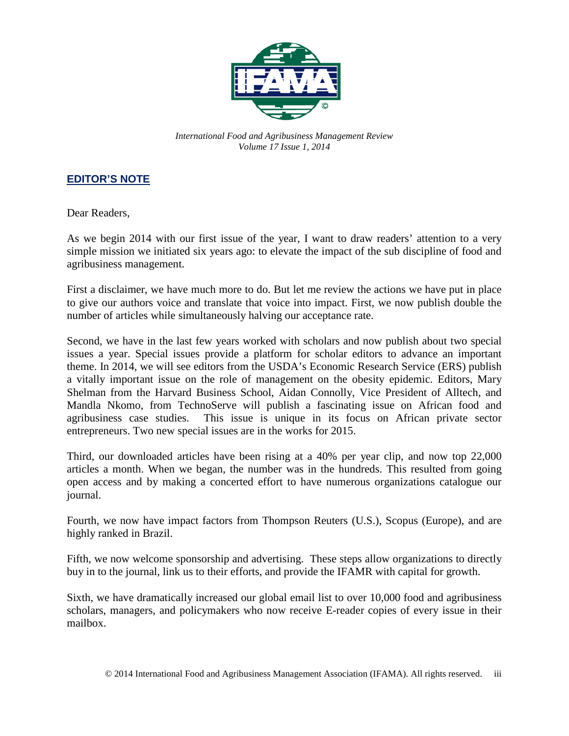

*International Food and Agribusiness Management Review Volume 17 Issue 1, 2014*

## **EDITOR'S NOTE**

Dear Readers,

As we begin 2014 with our first issue of the year, I want to draw readers' attention to a very simple mission we initiated six years ago: to elevate the impact of the sub discipline of food and agribusiness management.

First a disclaimer, we have much more to do. But let me review the actions we have put in place to give our authors voice and translate that voice into impact. First, we now publish double the number of articles while simultaneously halving our acceptance rate.

Second, we have in the last few years worked with scholars and now publish about two special issues a year. Special issues provide a platform for scholar editors to advance an important theme. In 2014, we will see editors from the USDA's Economic Research Service (ERS) publish a vitally important issue on the role of management on the obesity epidemic. Editors, Mary Shelman from the Harvard Business School, Aidan Connolly, Vice President of Alltech, and Mandla Nkomo, from TechnoServe will publish a fascinating issue on African food and agribusiness case studies. This issue is unique in its focus on African private sector entrepreneurs. Two new special issues are in the works for 2015.

Third, our downloaded articles have been rising at a 40% per year clip, and now top 22,000 articles a month. When we began, the number was in the hundreds. This resulted from going open access and by making a concerted effort to have numerous organizations catalogue our journal.

Fourth, we now have impact factors from Thompson Reuters (U.S.), Scopus (Europe), and are highly ranked in Brazil.

Fifth, we now welcome sponsorship and advertising. These steps allow organizations to directly buy in to the journal, link us to their efforts, and provide the IFAMR with capital for growth.

Sixth, we have dramatically increased our global email list to over 10,000 food and agribusiness scholars, managers, and policymakers who now receive E-reader copies of every issue in their mailbox.